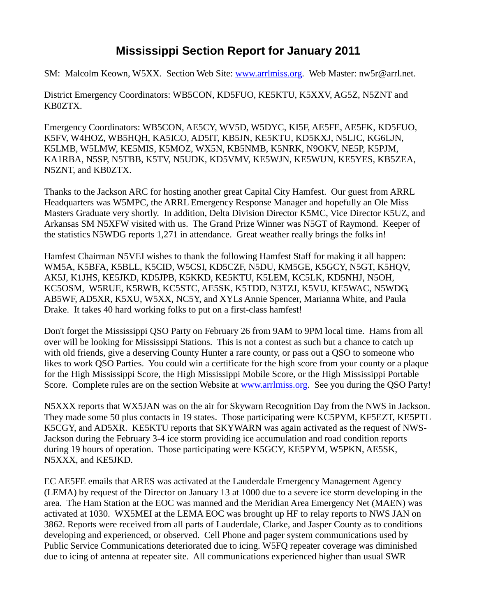## **Mississippi Section Report for January 2011**

SM: Malcolm Keown, W5XX. Section Web Site: [www.arrlmiss.org.](http://www.arrlmiss.org/) Web Master: nw5r@arrl.net.

District Emergency Coordinators: WB5CON, KD5FUO, KE5KTU, K5XXV, AG5Z, N5ZNT and KB0ZTX.

Emergency Coordinators: WB5CON, AE5CY, WV5D, W5DYC, KI5F, AE5FE, AE5FK, KD5FUO, K5FV, W4HOZ, WB5HQH, KA5ICO, AD5IT, KB5JN, KE5KTU, KD5KXJ, N5LJC, KG6LJN, K5LMB, W5LMW, KE5MIS, K5MOZ, WX5N, KB5NMB, K5NRK, N9OKV, NE5P, K5PJM, KA1RBA, N5SP, N5TBB, K5TV, N5UDK, KD5VMV, KE5WJN, KE5WUN, KE5YES, KB5ZEA, N5ZNT, and KB0ZTX.

Thanks to the Jackson ARC for hosting another great Capital City Hamfest. Our guest from ARRL Headquarters was W5MPC, the ARRL Emergency Response Manager and hopefully an Ole Miss Masters Graduate very shortly. In addition, Delta Division Director K5MC, Vice Director K5UZ, and Arkansas SM N5XFW visited with us. The Grand Prize Winner was N5GT of Raymond. Keeper of the statistics N5WDG reports 1,271 in attendance. Great weather really brings the folks in!

Hamfest Chairman N5VEI wishes to thank the following Hamfest Staff for making it all happen: WM5A, K5BFA, K5BLL, K5CID, W5CSI, KD5CZF, N5DU, KM5GE, K5GCY, N5GT, K5HQV, AK5J, K1JHS, KE5JKD, KD5JPB, K5KKD, KE5KTU, K5LEM, KC5LK, KD5NHJ, N5OH, KC5OSM, W5RUE, K5RWB, KC5STC, AE5SK, K5TDD, N3TZJ, K5VU, KE5WAC, N5WDG, AB5WF, AD5XR, K5XU, W5XX, NC5Y, and XYLs Annie Spencer, Marianna White, and Paula Drake. It takes 40 hard working folks to put on a first-class hamfest!

Don't forget the Mississippi QSO Party on February 26 from 9AM to 9PM local time. Hams from all over will be looking for Mississippi Stations. This is not a contest as such but a chance to catch up with old friends, give a deserving County Hunter a rare county, or pass out a QSO to someone who likes to work QSO Parties. You could win a certificate for the high score from your county or a plaque for the High Mississippi Score, the High Mississippi Mobile Score, or the High Mississippi Portable Score. Complete rules are on the section Website at [www.arrlmiss.org.](http://www.arrlmiss.org/) See you during the QSO Party!

N5XXX reports that WX5JAN was on the air for Skywarn Recognition Day from the NWS in Jackson. They made some 50 plus contacts in 19 states. Those participating were KC5PYM, KF5EZT, KE5PTL K5CGY, and AD5XR. KE5KTU reports that SKYWARN was again activated as the request of NWS-Jackson during the February 3-4 ice storm providing ice accumulation and road condition reports during 19 hours of operation. Those participating were K5GCY, KE5PYM, W5PKN, AE5SK, N5XXX, and KE5JKD.

EC AE5FE emails that ARES was activated at the Lauderdale Emergency Management Agency (LEMA) by request of the Director on January 13 at 1000 due to a severe ice storm developing in the area. The Ham Station at the EOC was manned and the Meridian Area Emergency Net (MAEN) was activated at 1030. WX5MEI at the LEMA EOC was brought up HF to relay reports to NWS JAN on 3862. Reports were received from all parts of Lauderdale, Clarke, and Jasper County as to conditions developing and experienced, or observed. Cell Phone and pager system communications used by Public Service Communications deteriorated due to icing. W5FQ repeater coverage was diminished due to icing of antenna at repeater site. All communications experienced higher than usual SWR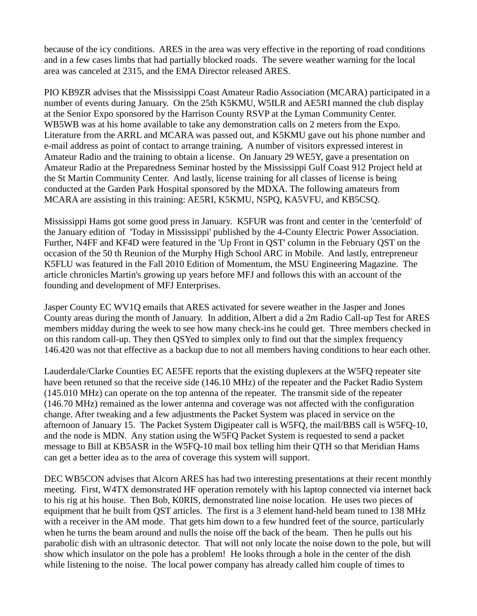because of the icy conditions. ARES in the area was very effective in the reporting of road conditions and in a few cases limbs that had partially blocked roads. The severe weather warning for the local area was canceled at 2315, and the EMA Director released ARES.

PIO KB9ZR advises that the Mississippi Coast Amateur Radio Association (MCARA) participated in a number of events during January. On the 25th K5KMU, W5ILR and AE5RI manned the club display at the Senior Expo sponsored by the Harrison County RSVP at the Lyman Community Center. WB5WB was at his home available to take any demonstration calls on 2 meters from the Expo. Literature from the ARRL and MCARA was passed out, and K5KMU gave out his phone number and e-mail address as point of contact to arrange training. A number of visitors expressed interest in Amateur Radio and the training to obtain a license. On January 29 WE5Y, gave a presentation on Amateur Radio at the Preparedness Seminar hosted by the Mississippi Gulf Coast 912 Project held at the St Martin Community Center. And lastly, license training for all classes of license is being conducted at the Garden Park Hospital sponsored by the MDXA. The following amateurs from MCARA are assisting in this training: AE5RI, K5KMU, N5PQ, KA5VFU, and KB5CSQ.

Mississippi Hams got some good press in January. K5FUR was front and center in the 'centerfold' of the January edition of 'Today in Mississippi' published by the 4-County Electric Power Association. Further, N4FF and KF4D were featured in the 'Up Front in QST' column in the February QST on the occasion of the 50 th Reunion of the Murphy High School ARC in Mobile. And lastly, entrepreneur K5FLU was featured in the Fall 2010 Edition of Momentum, the MSU Engineering Magazine. The article chronicles Martin's growing up years before MFJ and follows this with an account of the founding and development of MFJ Enterprises.

Jasper County EC WV1Q emails that ARES activated for severe weather in the Jasper and Jones County areas during the month of January. In addition, Albert a did a 2m Radio Call-up Test for ARES members midday during the week to see how many check-ins he could get. Three members checked in on this random call-up. They then QSYed to simplex only to find out that the simplex frequency 146.420 was not that effective as a backup due to not all members having conditions to hear each other.

Lauderdale/Clarke Counties EC AE5FE reports that the existing duplexers at the W5FQ repeater site have been retuned so that the receive side (146.10 MHz) of the repeater and the Packet Radio System (145.010 MHz) can operate on the top antenna of the repeater. The transmit side of the repeater (146.70 MHz) remained as the lower antenna and coverage was not affected with the configuration change. After tweaking and a few adjustments the Packet System was placed in service on the afternoon of January 15. The Packet System Digipeater call is W5FQ, the mail/BBS call is W5FQ-10, and the node is MDN. Any station using the W5FQ Packet System is requested to send a packet message to Bill at KB5ASR in the W5FQ-10 mail box telling him their QTH so that Meridian Hams can get a better idea as to the area of coverage this system will support.

DEC WB5CON advises that Alcorn ARES has had two interesting presentations at their recent monthly meeting. First, W4TX demonstrated HF operation remotely with his laptop connected via internet back to his rig at his house. Then Bob, K0RIS, demonstrated line noise location. He uses two pieces of equipment that he built from QST articles. The first is a 3 element hand-held beam tuned to 138 MHz with a receiver in the AM mode. That gets him down to a few hundred feet of the source, particularly when he turns the beam around and nulls the noise off the back of the beam. Then he pulls out his parabolic dish with an ultrasonic detector. That will not only locate the noise down to the pole, but will show which insulator on the pole has a problem! He looks through a hole in the center of the dish while listening to the noise. The local power company has already called him couple of times to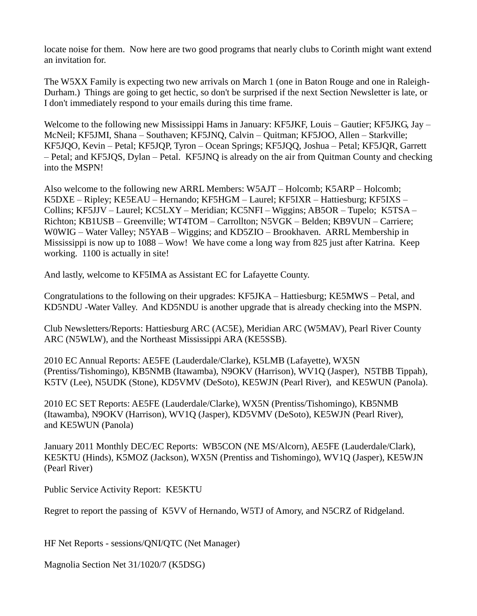locate noise for them. Now here are two good programs that nearly clubs to Corinth might want extend an invitation for.

The W5XX Family is expecting two new arrivals on March 1 (one in Baton Rouge and one in Raleigh-Durham.) Things are going to get hectic, so don't be surprised if the next Section Newsletter is late, or I don't immediately respond to your emails during this time frame.

Welcome to the following new Mississippi Hams in January: KF5JKF, Louis – Gautier; KF5JKG, Jay – McNeil; KF5JMI, Shana – Southaven; KF5JNQ, Calvin – Quitman; KF5JOO, Allen – Starkville; KF5JQO, Kevin – Petal; KF5JQP, Tyron – Ocean Springs; KF5JQQ, Joshua – Petal; KF5JQR, Garrett – Petal; and KF5JQS, Dylan – Petal. KF5JNQ is already on the air from Quitman County and checking into the MSPN!

Also welcome to the following new ARRL Members: W5AJT – Holcomb; K5ARP – Holcomb; K5DXE – Ripley; KE5EAU – Hernando; KF5HGM – Laurel; KF5IXR – Hattiesburg; KF5IXS – Collins; KF5JJV – Laurel; KC5LXY – Meridian; KC5NFI – Wiggins; AB5OR – Tupelo; K5TSA – Richton; KB1USB – Greenville; WT4TOM – Carrollton; N5VGK – Belden; KB9VUN – Carriere; W0WIG – Water Valley; N5YAB – Wiggins; and KD5ZIO – Brookhaven. ARRL Membership in Mississippi is now up to 1088 – Wow! We have come a long way from 825 just after Katrina. Keep working. 1100 is actually in site!

And lastly, welcome to KF5IMA as Assistant EC for Lafayette County.

Congratulations to the following on their upgrades: KF5JKA – Hattiesburg; KE5MWS – Petal, and KD5NDU -Water Valley. And KD5NDU is another upgrade that is already checking into the MSPN.

Club Newsletters/Reports: Hattiesburg ARC (AC5E), Meridian ARC (W5MAV), Pearl River County ARC (N5WLW), and the Northeast Mississippi ARA (KE5SSB).

2010 EC Annual Reports: AE5FE (Lauderdale/Clarke), K5LMB (Lafayette), WX5N (Prentiss/Tishomingo), KB5NMB (Itawamba), N9OKV (Harrison), WV1Q (Jasper), N5TBB Tippah), K5TV (Lee), N5UDK (Stone), KD5VMV (DeSoto), KE5WJN (Pearl River), and KE5WUN (Panola).

2010 EC SET Reports: AE5FE (Lauderdale/Clarke), WX5N (Prentiss/Tishomingo), KB5NMB (Itawamba), N9OKV (Harrison), WV1Q (Jasper), KD5VMV (DeSoto), KE5WJN (Pearl River), and KE5WUN (Panola)

January 2011 Monthly DEC/EC Reports: WB5CON (NE MS/Alcorn), AE5FE (Lauderdale/Clark), KE5KTU (Hinds), K5MOZ (Jackson), WX5N (Prentiss and Tishomingo), WV1Q (Jasper), KE5WJN (Pearl River)

Public Service Activity Report: KE5KTU

Regret to report the passing of K5VV of Hernando, W5TJ of Amory, and N5CRZ of Ridgeland.

HF Net Reports - sessions/QNI/QTC (Net Manager)

Magnolia Section Net 31/1020/7 (K5DSG)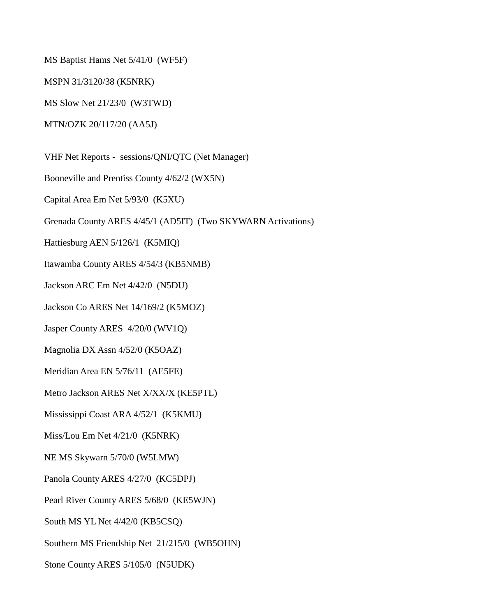MS Baptist Hams Net 5/41/0 (WF5F)

MSPN 31/3120/38 (K5NRK)

MS Slow Net 21/23/0 (W3TWD)

MTN/OZK 20/117/20 (AA5J)

VHF Net Reports - sessions/QNI/QTC (Net Manager)

Booneville and Prentiss County 4/62/2 (WX5N)

Capital Area Em Net 5/93/0 (K5XU)

Grenada County ARES 4/45/1 (AD5IT) (Two SKYWARN Activations)

Hattiesburg AEN 5/126/1 (K5MIQ)

Itawamba County ARES 4/54/3 (KB5NMB)

Jackson ARC Em Net 4/42/0 (N5DU)

Jackson Co ARES Net 14/169/2 (K5MOZ)

Jasper County ARES 4/20/0 (WV1Q)

Magnolia DX Assn 4/52/0 (K5OAZ)

Meridian Area EN 5/76/11 (AE5FE)

Metro Jackson ARES Net X/XX/X (KE5PTL)

Mississippi Coast ARA 4/52/1 (K5KMU)

Miss/Lou Em Net 4/21/0 (K5NRK)

NE MS Skywarn 5/70/0 (W5LMW)

Panola County ARES 4/27/0 (KC5DPJ)

Pearl River County ARES 5/68/0 (KE5WJN)

South MS YL Net 4/42/0 (KB5CSQ)

Southern MS Friendship Net 21/215/0 (WB5OHN)

Stone County ARES 5/105/0 (N5UDK)